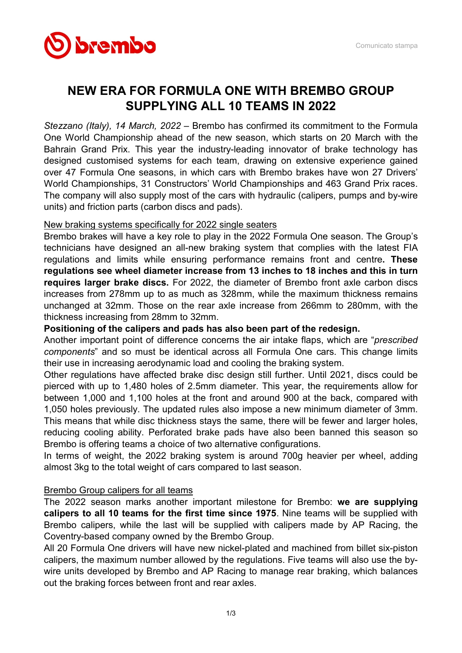

# NEW ERA FOR FORMULA ONE WITH BREMBO GROUP SUPPLYING ALL 10 TEAMS IN 2022

Stezzano (Italy), 14 March, 2022 – Brembo has confirmed its commitment to the Formula One World Championship ahead of the new season, which starts on 20 March with the Bahrain Grand Prix. This year the industry-leading innovator of brake technology has designed customised systems for each team, drawing on extensive experience gained over 47 Formula One seasons, in which cars with Brembo brakes have won 27 Drivers' World Championships, 31 Constructors' World Championships and 463 Grand Prix races. The company will also supply most of the cars with hydraulic (calipers, pumps and by-wire units) and friction parts (carbon discs and pads).

## New braking systems specifically for 2022 single seaters

Brembo brakes will have a key role to play in the 2022 Formula One season. The Group's technicians have designed an all-new braking system that complies with the latest FIA regulations and limits while ensuring performance remains front and centre. These regulations see wheel diameter increase from 13 inches to 18 inches and this in turn requires larger brake discs. For 2022, the diameter of Brembo front axle carbon discs increases from 278mm up to as much as 328mm, while the maximum thickness remains unchanged at 32mm. Those on the rear axle increase from 266mm to 280mm, with the thickness increasing from 28mm to 32mm.

## Positioning of the calipers and pads has also been part of the redesign.

Another important point of difference concerns the air intake flaps, which are "prescribed components" and so must be identical across all Formula One cars. This change limits their use in increasing aerodynamic load and cooling the braking system.

Other regulations have affected brake disc design still further. Until 2021, discs could be pierced with up to 1,480 holes of 2.5mm diameter. This year, the requirements allow for between 1,000 and 1,100 holes at the front and around 900 at the back, compared with 1,050 holes previously. The updated rules also impose a new minimum diameter of 3mm. This means that while disc thickness stays the same, there will be fewer and larger holes, reducing cooling ability. Perforated brake pads have also been banned this season so Brembo is offering teams a choice of two alternative configurations.

In terms of weight, the 2022 braking system is around 700g heavier per wheel, adding almost 3kg to the total weight of cars compared to last season.

# Brembo Group calipers for all teams

The 2022 season marks another important milestone for Brembo: we are supplying calipers to all 10 teams for the first time since 1975. Nine teams will be supplied with Brembo calipers, while the last will be supplied with calipers made by AP Racing, the Coventry-based company owned by the Brembo Group.

All 20 Formula One drivers will have new nickel-plated and machined from billet six-piston calipers, the maximum number allowed by the regulations. Five teams will also use the bywire units developed by Brembo and AP Racing to manage rear braking, which balances out the braking forces between front and rear axles.